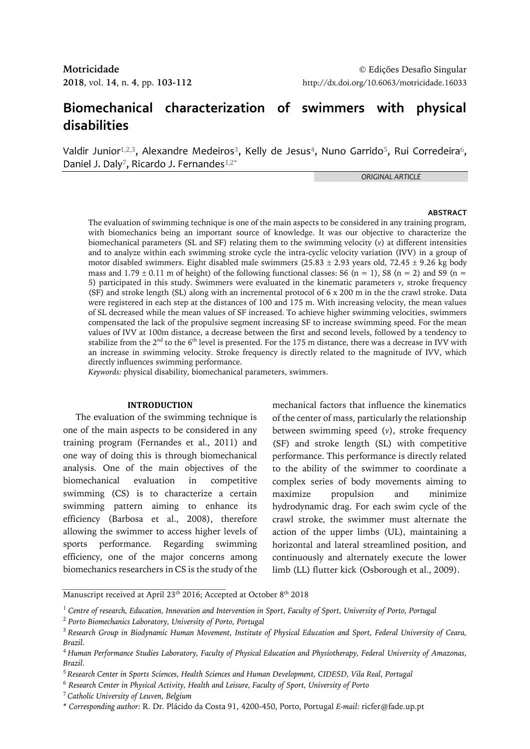# **Biomechanical characterization of swimmers with physical disabilities**

Valdir Junior<sup>1,2,3</sup>, Alexandre Medeiros<sup>3</sup>, Kelly de Jesus<sup>4</sup>, Nuno Garrido<sup>5</sup>, Rui Corredeira<sup>6</sup>, Daniel J. Daly<sup>7</sup>, Ricardo J. Fernandes<sup>1,2\*</sup>

*ORIGINAL ARTICLE*

#### **ABSTRACT**

The evaluation of swimming technique is one of the main aspects to be considered in any training program, with biomechanics being an important source of knowledge. It was our objective to characterize the biomechanical parameters (SL and SF) relating them to the swimming velocity (*v*) at different intensities and to analyze within each swimming stroke cycle the intra-cyclic velocity variation (IVV) in a group of motor disabled swimmers. Eight disabled male swimmers  $(25.83 \pm 2.93$  years old,  $72.45 \pm 9.26$  kg body mass and  $1.79 \pm 0.11$  m of height) of the following functional classes: S6 (n = 1), S8 (n = 2) and S9 (n = 5) participated in this study. Swimmers were evaluated in the kinematic parameters *v*, stroke frequency (SF) and stroke length (SL) along with an incremental protocol of 6 x 200 m in the the crawl stroke. Data were registered in each step at the distances of 100 and 175 m. With increasing velocity, the mean values of SL decreased while the mean values of SF increased. To achieve higher swimming velocities, swimmers compensated the lack of the propulsive segment increasing SF to increase swimming speed. For the mean values of IVV at 100m distance, a decrease between the first and second levels, followed by a tendency to stabilize from the  $2<sup>nd</sup>$  to the 6<sup>th</sup> level is presented. For the 175 m distance, there was a decrease in IVV with an increase in swimming velocity. Stroke frequency is directly related to the magnitude of IVV, which directly influences swimming performance.

*Keywords:* physical disability, biomechanical parameters, swimmers.

## **INTRODUCTION**

The evaluation of the swimming technique is one of the main aspects to be considered in any training program (Fernandes et al., 2011) and one way of doing this is through biomechanical analysis. One of the main objectives of the biomechanical evaluation in competitive swimming (CS) is to characterize a certain swimming pattern aiming to enhance its efficiency (Barbosa et al., 2008), therefore allowing the swimmer to access higher levels of sports performance. Regarding swimming efficiency, one of the major concerns among biomechanics researchers in CS is the study of the

mechanical factors that influence the kinematics of the center of mass, particularly the relationship between swimming speed (*v*), stroke frequency (SF) and stroke length (SL) with competitive performance. This performance is directly related to the ability of the swimmer to coordinate a complex series of body movements aiming to maximize propulsion and minimize hydrodynamic drag. For each swim cycle of the crawl stroke, the swimmer must alternate the action of the upper limbs (UL), maintaining a horizontal and lateral streamlined position, and continuously and alternately execute the lower limb (LL) flutter kick (Osborough et al., 2009).

Manuscript received at April 23 $^{\rm th}$  2016; Accepted at October 8 $^{\rm th}$  2018

<sup>1</sup> *Centre of research, Education, Innovation and Intervention in Sport, Faculty of Sport, University of Porto, Portugal* 

<sup>2</sup> *Porto Biomechanics Laboratory, University of Porto, Portugal* 

<sup>3</sup> *Research Group in Biodynamic Human Movement, Institute of Physical Education and Sport, Federal University of Ceara, Brazil.*

<sup>4</sup> *Human Performance Studies Laboratory, Faculty of Physical Education and Physiotherapy, Federal University of Amazonas, Brazil.*

<sup>5</sup> *Research Center in Sports Sciences, Health Sciences and Human Development, CIDESD, Vila Real, Portugal*

<sup>6</sup> *Research Center in Physical Activity, Health and Leisure, Faculty of Sport, University of Porto* 

<sup>7</sup> *Catholic University of Leuven, Belgium*

<sup>\*</sup> *Corresponding author*: R. Dr. Plácido da Costa 91, 4200-450, Porto, Portugal *E-mail*: ricfer@fade.up.pt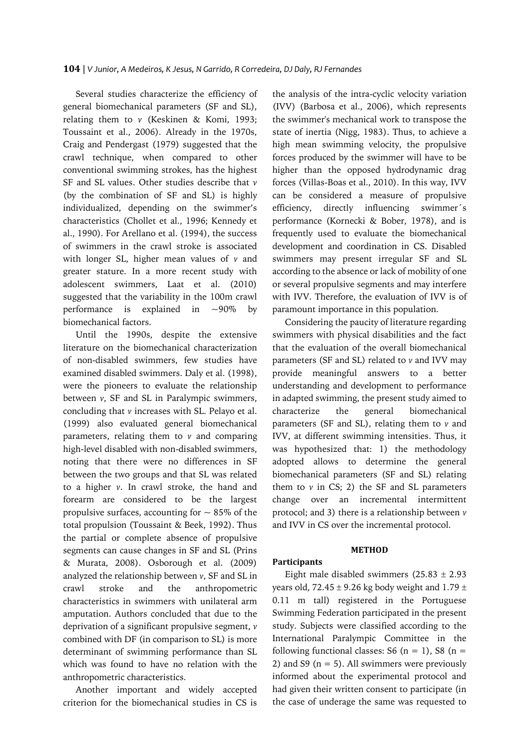Several studies characterize the efficiency of general biomechanical parameters (SF and SL), relating them to *v* (Keskinen & Komi, 1993; Toussaint et al., 2006). Already in the 1970s, Craig and Pendergast (1979) suggested that the crawl technique, when compared to other conventional swimming strokes, has the highest SF and SL values. Other studies describe that *v* (by the combination of SF and SL) is highly individualized, depending on the swimmer's characteristics (Chollet et al., 1996; Kennedy et al., 1990). For Arellano et al. (1994), the success of swimmers in the crawl stroke is associated with longer SL, higher mean values of *v* and greater stature. In a more recent study with adolescent swimmers, Laat et al. (2010) suggested that the variability in the 100m crawl performance is explained in  $\sim 90\%$  by biomechanical factors.

Until the 1990s, despite the extensive literature on the biomechanical characterization of non-disabled swimmers, few studies have examined disabled swimmers. Daly et al. (1998), were the pioneers to evaluate the relationship between *v*, SF and SL in Paralympic swimmers, concluding that *v* increases with SL. Pelayo et al. (1999) also evaluated general biomechanical parameters, relating them to  $\nu$  and comparing high-level disabled with non-disabled swimmers, noting that there were no differences in SF between the two groups and that SL was related to a higher *v*. In crawl stroke, the hand and forearm are considered to be the largest propulsive surfaces, accounting for  $\sim 85\%$  of the total propulsion (Toussaint & Beek, 1992). Thus the partial or complete absence of propulsive segments can cause changes in SF and SL (Prins & Murata, 2008). Osborough et al. (2009) analyzed the relationship between *v*, SF and SL in crawl stroke and the anthropometric characteristics in swimmers with unilateral arm amputation. Authors concluded that due to the deprivation of a significant propulsive segment, *v* combined with DF (in comparison to SL) is more determinant of swimming performance than SL which was found to have no relation with the anthropometric characteristics.

Another important and widely accepted criterion for the biomechanical studies in CS is

the analysis of the intra-cyclic velocity variation (IVV) (Barbosa et al., 2006), which represents the swimmer's mechanical work to transpose the state of inertia (Nigg, 1983). Thus, to achieve a high mean swimming velocity, the propulsive forces produced by the swimmer will have to be higher than the opposed hydrodynamic drag forces (Villas-Boas et al., 2010). In this way, IVV can be considered a measure of propulsive efficiency, directly influencing swimmer´s performance (Kornecki & Bober, 1978), and is frequently used to evaluate the biomechanical development and coordination in CS. Disabled swimmers may present irregular SF and SL according to the absence or lack of mobility of one or several propulsive segments and may interfere with IVV. Therefore, the evaluation of IVV is of paramount importance in this population.

Considering the paucity of literature regarding swimmers with physical disabilities and the fact that the evaluation of the overall biomechanical parameters (SF and SL) related to *v* and IVV may provide meaningful answers to a better understanding and development to performance in adapted swimming, the present study aimed to characterize the general biomechanical parameters (SF and SL), relating them to *v* and IVV, at different swimming intensities. Thus, it was hypothesized that: 1) the methodology adopted allows to determine the general biomechanical parameters (SF and SL) relating them to  $\nu$  in CS; 2) the SF and SL parameters change over an incremental intermittent protocol; and 3) there is a relationship between *v* and IVV in CS over the incremental protocol.

### **METHOD**

# **Participants**

Eight male disabled swimmers  $(25.83 \pm 2.93)$ years old, 72.45  $\pm$  9.26 kg body weight and 1.79  $\pm$ 0.11 m tall) registered in the Portuguese Swimming Federation participated in the present study. Subjects were classified according to the International Paralympic Committee in the following functional classes: S6 ( $n = 1$ ), S8 ( $n = 1$ ) 2) and S9 ( $n = 5$ ). All swimmers were previously informed about the experimental protocol and had given their written consent to participate (in the case of underage the same was requested to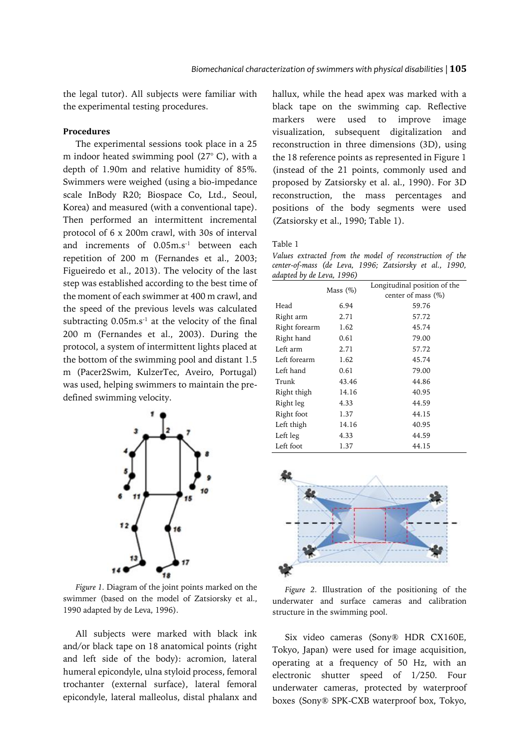the legal tutor). All subjects were familiar with the experimental testing procedures.

# **Procedures**

The experimental sessions took place in a 25 m indoor heated swimming pool (27° C), with a depth of 1.90m and relative humidity of 85%. Swimmers were weighed (using a bio-impedance scale InBody R20; Biospace Co, Ltd., Seoul, Korea) and measured (with a conventional tape). Then performed an intermittent incremental protocol of 6 x 200m crawl, with 30s of interval and increments of 0.05m.s<sup>-1</sup> between each repetition of 200 m (Fernandes et al., 2003; Figueiredo et al., 2013). The velocity of the last step was established according to the best time of the moment of each swimmer at 400 m crawl, and the speed of the previous levels was calculated subtracting  $0.05$ m.s<sup>-1</sup> at the velocity of the final 200 m (Fernandes et al., 2003). During the protocol, a system of intermittent lights placed at the bottom of the swimming pool and distant 1.5 m (Pacer2Swim, KulzerTec, Aveiro, Portugal) was used, helping swimmers to maintain the predefined swimming velocity.



*Figure 1.* Diagram of the joint points marked on the swimmer (based on the model of Zatsiorsky et al., 1990 adapted by de Leva, 1996).

All subjects were marked with black ink and/or black tape on 18 anatomical points (right and left side of the body): acromion, lateral humeral epicondyle, ulna styloid process, femoral trochanter (external surface), lateral femoral epicondyle, lateral malleolus, distal phalanx and

hallux, while the head apex was marked with a black tape on the swimming cap. Reflective markers were used to improve image visualization, subsequent digitalization and reconstruction in three dimensions (3D), using the 18 reference points as represented in Figure 1 (instead of the 21 points, commonly used and proposed by Zatsiorsky et al. al., 1990). For 3D reconstruction, the mass percentages and positions of the body segments were used (Zatsiorsky et al., 1990; Table 1).

*Values extracted from the model of reconstruction of the center-of-mass (de Leva, 1996; Zatsiorsky et al., 1990, adapted by de Leva, 1996)*

| ı             |             |                              |  |  |
|---------------|-------------|------------------------------|--|--|
|               | Mass $(\%)$ | Longitudinal position of the |  |  |
|               |             | center of mass (%)           |  |  |
| Head          | 6.94        | 59.76                        |  |  |
| Right arm     | 2.71        | 57.72                        |  |  |
| Right forearm | 1.62        | 45.74                        |  |  |
| Right hand    | 0.61        | 79.00                        |  |  |
| Left arm      | 2.71        | 57.72                        |  |  |
| Left forearm  | 1.62        | 45.74                        |  |  |
| Left hand     | 0.61        | 79.00                        |  |  |
| Trunk         | 43.46       | 44.86                        |  |  |
| Right thigh   | 14.16       | 40.95                        |  |  |
| Right leg     | 4.33        | 44.59                        |  |  |
| Right foot    | 1.37        | 44.15                        |  |  |
| Left thigh    | 14.16       | 40.95                        |  |  |
| Left leg      | 4.33        | 44.59                        |  |  |
| Left foot     | 1.37        | 44.15                        |  |  |



*Figure 2.* Illustration of the positioning of the underwater and surface cameras and calibration structure in the swimming pool.

Six video cameras (Sony® HDR CX160E, Tokyo, Japan) were used for image acquisition, operating at a frequency of 50 Hz, with an electronic shutter speed of 1/250. Four underwater cameras, protected by waterproof boxes (Sony® SPK-CXB waterproof box, Tokyo,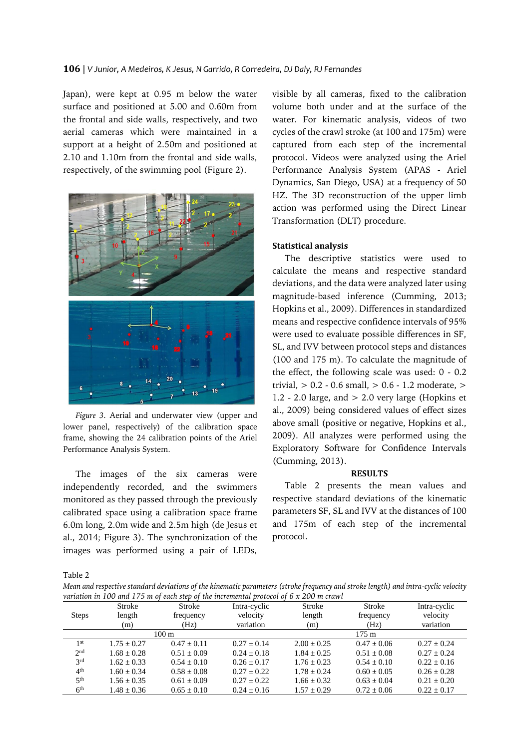Japan), were kept at 0.95 m below the water surface and positioned at 5.00 and 0.60m from the frontal and side walls, respectively, and two aerial cameras which were maintained in a support at a height of 2.50m and positioned at 2.10 and 1.10m from the frontal and side walls, respectively, of the swimming pool (Figure 2).



*Figure 3.* Aerial and underwater view (upper and lower panel, respectively) of the calibration space frame, showing the 24 calibration points of the Ariel Performance Analysis System.

The images of the six cameras were independently recorded, and the swimmers monitored as they passed through the previously calibrated space using a calibration space frame 6.0m long, 2.0m wide and 2.5m high (de Jesus et al., 2014; Figure 3). The synchronization of the images was performed using a pair of LEDs,

visible by all cameras, fixed to the calibration volume both under and at the surface of the water. For kinematic analysis, videos of two cycles of the crawl stroke (at 100 and 175m) were captured from each step of the incremental protocol. Videos were analyzed using the Ariel Performance Analysis System (APAS - Ariel Dynamics, San Diego, USA) at a frequency of 50 HZ. The 3D reconstruction of the upper limb action was performed using the Direct Linear Transformation (DLT) procedure.

#### **Statistical analysis**

The descriptive statistics were used to calculate the means and respective standard deviations, and the data were analyzed later using magnitude-based inference (Cumming, 2013; Hopkins et al., 2009). Differences in standardized means and respective confidence intervals of 95% were used to evaluate possible differences in SF, SL, and IVV between protocol steps and distances (100 and 175 m). To calculate the magnitude of the effect, the following scale was used: 0 - 0.2 trivial,  $> 0.2 - 0.6$  small,  $> 0.6 - 1.2$  moderate,  $>$ 1.2 - 2.0 large, and  $> 2.0$  very large (Hopkins et al., 2009) being considered values of effect sizes above small (positive or negative, Hopkins et al., 2009). All analyzes were performed using the Exploratory Software for Confidence Intervals (Cumming, 2013).

## **RESULTS**

Table 2 presents the mean values and respective standard deviations of the kinematic parameters SF, SL and IVV at the distances of 100 and 175m of each step of the incremental protocol.

Table 2

*Mean and respective standard deviations of the kinematic parameters (stroke frequency and stroke length) and intra-cyclic velocity variation in 100 and 175 m of each step of the incremental protocol of 6 x 200 m crawl*

|                 | Stroke          | Stroke          | Intra-cyclic    | Stroke          | Stroke          | Intra-cyclic    |
|-----------------|-----------------|-----------------|-----------------|-----------------|-----------------|-----------------|
| <b>Steps</b>    | length          | frequency       | velocity        | length          | frequency       | velocity        |
|                 | (m)             | (Hz)            | variation       | (m)             | (Hz)            | variation       |
|                 |                 | $100 \text{ m}$ |                 |                 | $175 \text{ m}$ |                 |
| 1 <sup>st</sup> | $1.75 + 0.27$   | $0.47 + 0.11$   | $0.27 \pm 0.14$ | $2.00 + 0.25$   | $0.47 + 0.06$   | $0.27 + 0.24$   |
| 2 <sub>nd</sub> | $1.68 + 0.28$   | $0.51 + 0.09$   | $0.24 + 0.18$   | $1.84 + 0.25$   | $0.51 + 0.08$   | $0.27 + 0.24$   |
| 2rd             | $1.62 + 0.33$   | $0.54 + 0.10$   | $0.26 + 0.17$   | $1.76 + 0.23$   | $0.54 + 0.10$   | $0.22 + 0.16$   |
| 4 <sup>th</sup> | $1.60 + 0.34$   | $0.58 + 0.08$   | $0.27 + 0.22$   | $1.78 + 0.24$   | $0.60 + 0.05$   | $0.26 \pm 0.28$ |
| 5 <sup>th</sup> | $1.56 + 0.35$   | $0.61 + 0.09$   | $0.27 + 0.22$   | $1.66 + 0.32$   | $0.63 + 0.04$   | $0.21 + 0.20$   |
| 6 <sup>th</sup> | $1.48 \pm 0.36$ | $0.65 \pm 0.10$ | $0.24 \pm 0.16$ | $1.57 \pm 0.29$ | $0.72 \pm 0.06$ | $0.22 \pm 0.17$ |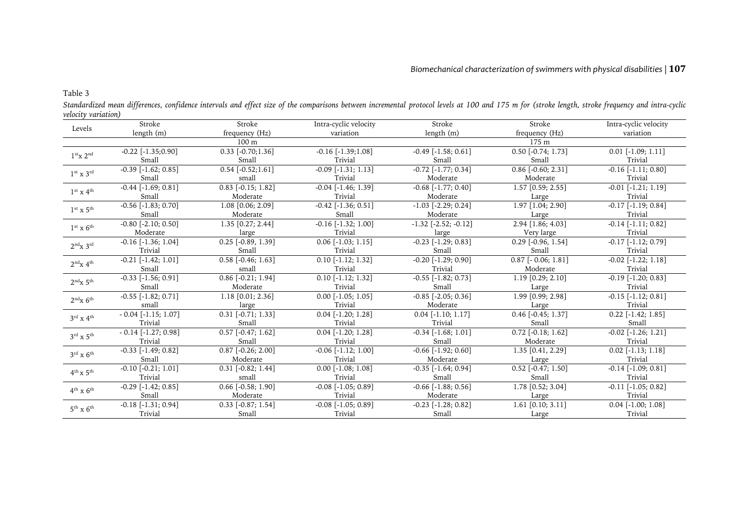# *Biomechanical characterization of swimmers with physical disabilities |* **107**

Table 3

| Levels                               | Stroke                    | Stroke                          | Intra-cyclic velocity     | Stroke                    | Stroke                   | Intra-cyclic velocity     |
|--------------------------------------|---------------------------|---------------------------------|---------------------------|---------------------------|--------------------------|---------------------------|
|                                      | length (m)                | frequency (Hz)                  | variation                 | length (m)                | frequency (Hz)           | variation                 |
|                                      |                           | 100 m                           |                           |                           | 175 <sub>m</sub>         |                           |
| 1 <sup>st</sup> x 2 <sup>nd</sup>    | $-0.22$ [ $-1.35;0.90$ ]  | $0.33$ [-0.70;1.36]             | $-0.16$ [ $-1.39$ ; 1.08] | $-0.49$ [ $-1.58$ ; 0.61] | $0.50$ [-0.74; 1.73]     | $0.01$ [-1.09; 1.11]      |
|                                      | Small                     | Small                           | Trivial                   | Small                     | Small                    | Trivial                   |
| $1st$ x $3rd$                        | $-0.39$ [ $-1.62; 0.85$ ] | $0.54$ [-0.52;1.61]             | $-0.09$ $[-1.31; 1.13]$   | $-0.72$ [ $-1.77; 0.34$ ] | $0.86$ [-0.60; 2.31]     | $-0.16$ [ $-1.11$ ; 0.80] |
|                                      | Small                     | small                           | Trivial                   | Moderate                  | Moderate                 | Trivial                   |
| $1st$ x $4th$                        | $-0.44$ [ $-1.69; 0.81$ ] | $0.83$ [-0.15; 1.82]            | $-0.04$ $[-1.46; 1.39]$   | $-0.68$ [ $-1.77$ ; 0.40] | 1.57 [0.59; 2.55]        | $-0.01$ $[-1.21; 1.19]$   |
|                                      | Small                     | Moderate                        | Trivial                   | Moderate                  | Large                    | Trivial                   |
| $1st$ x $5th$                        | $-0.56$ [ $-1.83; 0.70$ ] | 1.08 [0.06; 2.09]               | $-0.42$ [ $-1.36; 0.51$ ] | $-1.03$ $[-2.29; 0.24]$   | 1.97 [1.04; 2.90]        | $-0.17$ [ $-1.19; 0.84$ ] |
|                                      | Small                     | Moderate                        | Small                     | Moderate                  | Large                    | Trivial                   |
| $1st$ x $6th$                        | $-0.80$ [ $-2.10$ ; 0.50] | $1.35$ [0.27; 2.44]             | $-0.16$ $[-1.32; 1.00]$   | $-1.32$ $[-2.52; -0.12]$  | 2.94 [1.86; 4.03]        | $-0.14$ [ $-1.11$ ; 0.82] |
|                                      | Moderate                  | large                           | Trivial                   | large                     | Very large               | Trivial                   |
| 2 <sup>nd</sup> x 3 <sup>rd</sup>    | $-0.16$ [ $-1.36$ ; 1.04] | $0.25$ [-0.89, 1.39]            | $0.06$ [-1.03; 1.15]      | $-0.23$ [ $-1.29; 0.83$ ] | $0.29$ [-0.96, 1.54]     | $-0.17$ $[-1.12; 0.79]$   |
|                                      | Trivial                   | Small                           | Trivial                   | Small                     | Small                    | Trivial                   |
| $2^{nd}x 4^{th}$                     | $-0.21$ [ $-1.42; 1.01$ ] | $0.58$ [-0.46; 1.63]            | $0.10$ [-1.12; 1.32]      | $-0.20$ [ $-1.29; 0.90$ ] | $0.87$ [ $-0.06; 1.81$ ] | $-0.02$ $[-1.22; 1.18]$   |
|                                      | Small                     | small                           | Trivial                   | Trivial                   | Moderate                 | Trivial                   |
| 2 <sup>nd</sup> x 5 <sup>th</sup>    | $-0.33$ [ $-1.56$ ; 0.91] | $\overline{0.86}$ [-0.21; 1.94] | $0.10$ [-1.12; 1.32]      | $-0.55$ [ $-1.82; 0.73$ ] | 1.19 [0.29; 2.10]        | $-0.19$ [ $-1.20; 0.83$ ] |
|                                      | Small                     | Moderate                        | Trivial                   | Small                     | Large                    | Trivial                   |
| $2^{nd}x$ 6 <sup>th</sup>            | $-0.55$ [ $-1.82; 0.71$ ] | $1.18$ [0.01; 2.36]             | $0.00$ [-1.05; 1.05]      | $-0.85$ [ $-2.05; 0.36$ ] | 1.99 [0.99; 2.98]        | $-0.15$ [ $-1.12$ ; 0.81] |
|                                      | small                     | large                           | Trivial                   | Moderate                  | Large                    | Trivial                   |
| $3^{\text{rd}}$ x $4^{\text{th}}$    | $-0.04$ [ $-1.15$ ; 1.07] | $0.31$ [-0.71; 1.33]            | $0.04$ [-1.20; 1.28]      | $0.04$ [-1.10; 1.17]      | $0.46$ [-0.45; 1.37]     | $0.22$ [-1.42; 1.85]      |
|                                      | Trivial                   | Small                           | Trivial                   | Trivial                   | Small                    | Small                     |
| $3^{\text{rd}}$ x $5^{\text{th}}$    | $-0.14$ [ $-1.27; 0.98$ ] | $0.57$ [-0.47; 1.62]            | $0.04$ [-1.20; 1.28]      | $-0.34$ [ $-1.68$ ; 1.01] | $0.72$ [-0.18; 1.62]     | $-0.02$ $[-1.26; 1.21]$   |
|                                      | Trivial                   | Small                           | Trivial                   | Small                     | Moderate                 | Trivial                   |
| $3^{\text{rd}} \times 6^{\text{th}}$ | $-0.33$ [ $-1.49; 0.82$ ] | $0.87$ [-0.26; 2.00]            | $-0.06$ [ $-1.12$ ; 1.00] | $-0.66$ [ $-1.92; 0.60$ ] | 1.35 [0.41, 2.29]        | $0.02$ [-1.13; 1.18]      |
|                                      | Small                     | Moderate                        | Trivial                   | Moderate                  | Large                    | Trivial                   |
| $4^{th}$ x $5^{th}$                  | $-0.10$ $[-0.21; 1.01]$   | $0.31$ [-0.82; 1.44]            | $0.00$ [-1.08; 1.08]      | $-0.35$ [ $-1.64; 0.94$ ] | $0.52$ [-0.47; 1.50]     | $-0.14$ [ $-1.09; 0.81$ ] |
|                                      | Trivial                   | small                           | Trivial                   | Small                     | Small                    | Trivial                   |
| $4^{\text{th}}$ x $6^{\text{th}}$    | $-0.29$ [ $-1.42; 0.85$ ] | $0.66$ [-0.58; 1.90]            | $-0.08$ [ $-1.05$ ; 0.89] | $-0.66$ [ $-1.88; 0.56$ ] | 1.78 [0.52; 3.04]        | $-0.11$ [ $-1.05$ ; 0.82] |
|                                      | Small                     | Moderate                        | Trivial                   | Moderate                  | Large                    | Trivial                   |
| $5^{\text{th}}$ x $6^{\text{th}}$    | $-0.18$ [ $-1.31; 0.94$ ] | $0.33$ [-0.87; 1.54]            | $-0.08$ [ $-1.05$ ; 0.89] | $-0.23$ [ $-1.28$ ; 0.82] | $1.61$ [0.10; 3.11]      | $0.04$ [-1.00; 1.08]      |
|                                      | Trivial                   | Small                           | Trivial                   | Small                     | Large                    | Trivial                   |

*Standardized mean differences, confidence intervals and effect size of the comparisons between incremental protocol levels at 100 and 175 m for (stroke length, stroke frequency and intra-cyclic velocity variation)*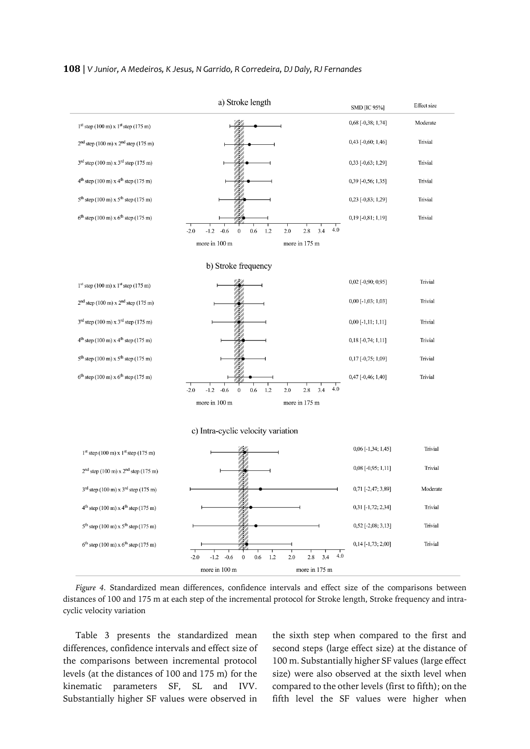#### **108** | *V Junior, A Medeiros, K Jesus, N Garrido, R Corredeira, DJ Daly, RJ Fernandes*



*Figure 4.* Standardized mean differences, confidence intervals and effect size of the comparisons between distances of 100 and 175 m at each step of the incremental protocol for Stroke length, Stroke frequency and intracyclic velocity variation

Table 3 presents the standardized mean differences, confidence intervals and effect size of the comparisons between incremental protocol levels (at the distances of 100 and 175 m) for the kinematic parameters SF, SL and IVV. Substantially higher SF values were observed in

the sixth step when compared to the first and second steps (large effect size) at the distance of 100 m. Substantially higher SF values (large effect size) were also observed at the sixth level when compared to the other levels (first to fifth); on the fifth level the SF values were higher when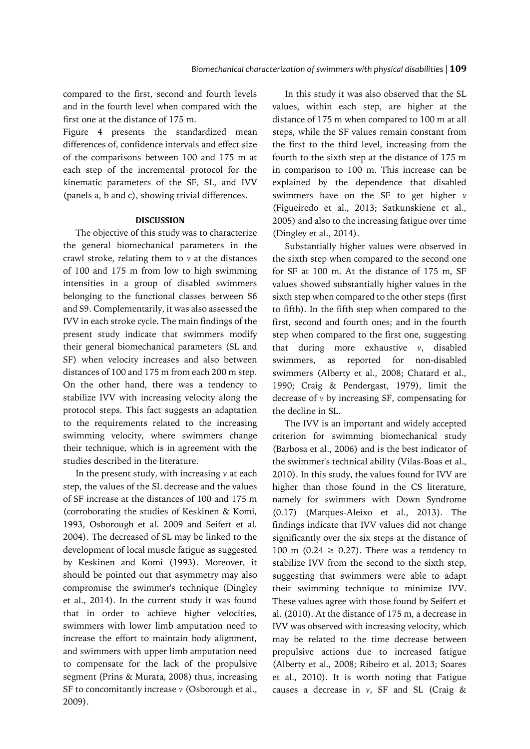compared to the first, second and fourth levels and in the fourth level when compared with the first one at the distance of 175 m.

Figure 4 presents the standardized mean differences of, confidence intervals and effect size of the comparisons between 100 and 175 m at each step of the incremental protocol for the kinematic parameters of the SF, SL, and IVV (panels a, b and c), showing trivial differences.

# **DISCUSSION**

The objective of this study was to characterize the general biomechanical parameters in the crawl stroke, relating them to *v* at the distances of 100 and 175 m from low to high swimming intensities in a group of disabled swimmers belonging to the functional classes between S6 and S9. Complementarily, it was also assessed the IVV in each stroke cycle. The main findings of the present study indicate that swimmers modify their general biomechanical parameters (SL and SF) when velocity increases and also between distances of 100 and 175 m from each 200 m step. On the other hand, there was a tendency to stabilize IVV with increasing velocity along the protocol steps. This fact suggests an adaptation to the requirements related to the increasing swimming velocity, where swimmers change their technique, which is in agreement with the studies described in the literature.

In the present study, with increasing *v* at each step, the values of the SL decrease and the values of SF increase at the distances of 100 and 175 m (corroborating the studies of Keskinen & Komi, 1993, Osborough et al. 2009 and Seifert et al. 2004). The decreased of SL may be linked to the development of local muscle fatigue as suggested by Keskinen and Komi (1993). Moreover, it should be pointed out that asymmetry may also compromise the swimmer's technique (Dingley et al., 2014). In the current study it was found that in order to achieve higher velocities, swimmers with lower limb amputation need to increase the effort to maintain body alignment, and swimmers with upper limb amputation need to compensate for the lack of the propulsive segment (Prins & Murata, 2008) thus, increasing SF to concomitantly increase *v* (Osborough et al., 2009).

In this study it was also observed that the SL values, within each step, are higher at the distance of 175 m when compared to 100 m at all steps, while the SF values remain constant from the first to the third level, increasing from the fourth to the sixth step at the distance of 175 m in comparison to 100 m. This increase can be explained by the dependence that disabled swimmers have on the SF to get higher *v* (Figueiredo et al., 2013; Satkunskiene et al., 2005) and also to the increasing fatigue over time (Dingley et al., 2014).

Substantially higher values were observed in the sixth step when compared to the second one for SF at 100 m. At the distance of 175 m, SF values showed substantially higher values in the sixth step when compared to the other steps (first to fifth). In the fifth step when compared to the first, second and fourth ones; and in the fourth step when compared to the first one, suggesting that during more exhaustive *v*, disabled swimmers, as reported for non-disabled swimmers (Alberty et al., 2008; Chatard et al., 1990; Craig & Pendergast, 1979), limit the decrease of *v* by increasing SF, compensating for the decline in SL.

The IVV is an important and widely accepted criterion for swimming biomechanical study (Barbosa et al., 2006) and is the best indicator of the swimmer's technical ability (Vilas-Boas et al., 2010). In this study, the values found for IVV are higher than those found in the CS literature, namely for swimmers with Down Syndrome (0.17) (Marques-Aleixo et al., 2013). The findings indicate that IVV values did not change significantly over the six steps at the distance of 100 m (0.24  $\geq$  0.27). There was a tendency to stabilize IVV from the second to the sixth step, suggesting that swimmers were able to adapt their swimming technique to minimize IVV. These values agree with those found by Seifert et al. (2010). At the distance of 175 m, a decrease in IVV was observed with increasing velocity, which may be related to the time decrease between propulsive actions due to increased fatigue (Alberty et al., 2008; Ribeiro et al. 2013; Soares et al., 2010). It is worth noting that Fatigue causes a decrease in *v*, SF and SL (Craig &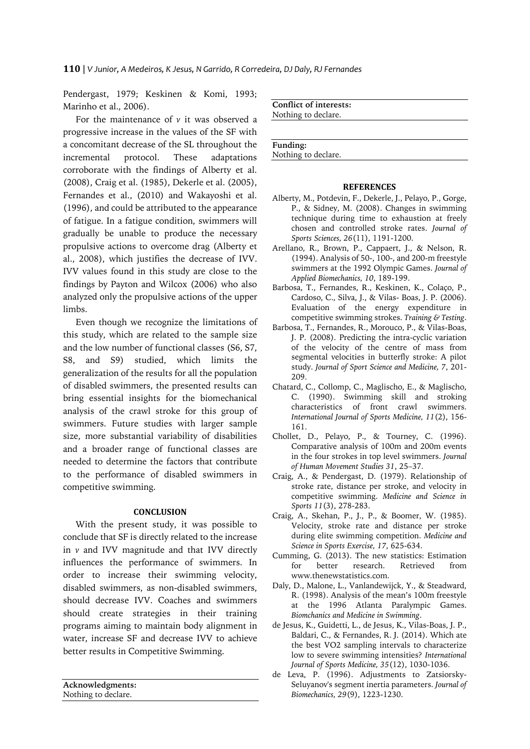Pendergast, 1979; Keskinen & Komi, 1993; Marinho et al., 2006).

For the maintenance of *v* it was observed a progressive increase in the values of the SF with a concomitant decrease of the SL throughout the incremental protocol. These adaptations corroborate with the findings of Alberty et al. (2008), Craig et al. (1985), Dekerle et al. (2005), Fernandes et al., (2010) and Wakayoshi et al. (1996), and could be attributed to the appearance of fatigue. In a fatigue condition, swimmers will gradually be unable to produce the necessary propulsive actions to overcome drag (Alberty et al., 2008), which justifies the decrease of IVV. IVV values found in this study are close to the findings by Payton and Wilcox (2006) who also analyzed only the propulsive actions of the upper limbs.

Even though we recognize the limitations of this study, which are related to the sample size and the low number of functional classes (S6, S7, S8, and S9) studied, which limits the generalization of the results for all the population of disabled swimmers, the presented results can bring essential insights for the biomechanical analysis of the crawl stroke for this group of swimmers. Future studies with larger sample size, more substantial variability of disabilities and a broader range of functional classes are needed to determine the factors that contribute to the performance of disabled swimmers in competitive swimming.

## **CONCLUSION**

With the present study, it was possible to conclude that SF is directly related to the increase in *v* and IVV magnitude and that IVV directly influences the performance of swimmers. In order to increase their swimming velocity, disabled swimmers, as non-disabled swimmers, should decrease IVV. Coaches and swimmers should create strategies in their training programs aiming to maintain body alignment in water, increase SF and decrease IVV to achieve better results in Competitive Swimming.

**Acknowledgments:** Nothing to declare.

**Conflict of interests:** Nothing to declare.

**Funding:** Nothing to declare.

## **REFERENCES**

- Alberty, M., Potdevin, F., Dekerle, J., Pelayo, P., Gorge, P., & Sidney, M. (2008). Changes in swimming technique during time to exhaustion at freely chosen and controlled stroke rates. *Journal of Sports Sciences, 26*(11), 1191-1200.
- Arellano, R., Brown, P., Cappaert, J., & Nelson, R. (1994). Analysis of 50-, 100-, and 200-m freestyle swimmers at the 1992 Olympic Games. *Journal of Applied Biomechanics, 10*, 189-199.
- Barbosa, T., Fernandes, R., Keskinen, K., Colaço, P., Cardoso, C., Silva, J., & Vilas- Boas, J. P. (2006). Evaluation of the energy expenditure in competitive swimming strokes. *Training & Testing*.
- Barbosa, T., Fernandes, R., Morouco, P., & Vilas-Boas, J. P. (2008). Predicting the intra-cyclic variation of the velocity of the centre of mass from segmental velocities in butterfly stroke: A pilot study. *Journal of Sport Science and Medicine, 7*, 201- 209.
- Chatard, C., Collomp, C., Maglischo, E., & Maglischo, C. (1990). Swimming skill and stroking characteristics of front crawl swimmers. *International Journal of Sports Medicine, 11*(2), 156- 161.
- Chollet, D., Pelayo, P., & Tourney, C. (1996). Comparative analysis of 100m and 200m events in the four strokes in top level swimmers. *Journal of Human Movement Studies 31*, 25–37.
- Craig, A., & Pendergast, D. (1979). Relationship of stroke rate, distance per stroke, and velocity in competitive swimming. *Medicine and Science in Sports 11*(3), 278-283.
- Craig, A., Skehan, P., J., P., & Boomer, W. (1985). Velocity, stroke rate and distance per stroke during elite swimming competition. *Medicine and Science in Sports Exercise, 17*, 625-634.
- Cumming, G. (2013). The new statistics: Estimation for better research. Retrieved from www.thenewstatistics.com.
- Daly, D., Malone, L., Vanlandewijck, Y., & Steadward, R. (1998). Analysis of the mean's 100m freestyle at the 1996 Atlanta Paralympic Games. *Biomchanics and Medicine in Swimming*.
- de Jesus, K., Guidetti, L., de Jesus, K., Vilas-Boas, J. P., Baldari, C., & Fernandes, R. J. (2014). Which ate the best VO2 sampling intervals to characterize low to severe swimming intensities? *International Journal of Sports Medicine, 35*(12), 1030-1036.
- de Leva, P. (1996). Adjustments to Zatsiorsky-Seluyanov's segment inertia parameters. *Journal of Biomechanics, 29*(9), 1223-1230.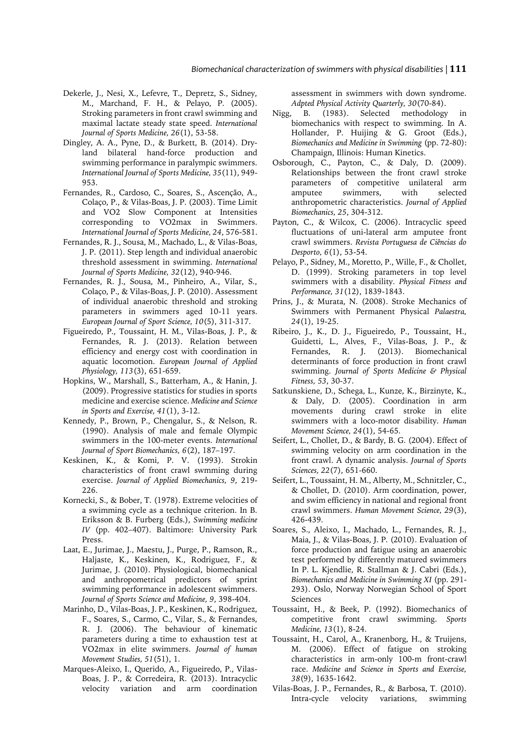- Dekerle, J., Nesi, X., Lefevre, T., Depretz, S., Sidney, M., Marchand, F. H., & Pelayo, P. (2005). Stroking parameters in front crawl swimming and maximal lactate steady state speed. *International Journal of Sports Medicine, 26*(1), 53-58.
- Dingley, A. A., Pyne, D., & Burkett, B. (2014). Dryland bilateral hand-force production and swimming performance in paralympic swimmers. *International Journal of Sports Medicine, 35*(11), 949- 953.
- Fernandes, R., Cardoso, C., Soares, S., Ascenção, A., Colaço, P., & Vilas-Boas, J. P. (2003). Time Limit and VO2 Slow Component at Intensities corresponding to VO2max in Swimmers. *International Journal of Sports Medicine, 24*, 576-581.
- Fernandes, R. J., Sousa, M., Machado, L., & Vilas-Boas, J. P. (2011). Step length and individual anaerobic threshold assessment in swimming. *International Journal of Sports Medicine, 32*(12), 940-946.
- Fernandes, R. J., Sousa, M., Pinheiro, A., Vilar, S., Colaço, P., & Vilas-Boas, J. P. (2010). Assessment of individual anaerobic threshold and stroking parameters in swimmers aged 10-11 years. *European Journal of Sport Science, 10*(5), 311-317.
- Figueiredo, P., Toussaint, H. M., Vilas-Boas, J. P., & Fernandes, R. J. (2013). Relation between efficiency and energy cost with coordination in aquatic locomotion. *European Journal of Applied Physiology, 113*(3), 651-659.
- Hopkins, W., Marshall, S., Batterham, A., & Hanin, J. (2009). Progressive statistics for studies in sports medicine and exercise science. *Medicine and Science in Sports and Exercise, 41*(1), 3-12.
- Kennedy, P., Brown, P., Chengalur, S., & Nelson, R. (1990). Analysis of male and female Olympic swimmers in the 100-meter events. *International Journal of Sport Biomechanics, 6*(2), 187–197.
- Keskinen, K., & Komi, P. V. (1993). Strokin characteristics of front crawl swmming during exercise. *Journal of Applied Biomechanics, 9*, 219- 226.
- Kornecki, S., & Bober, T. (1978). Extreme velocities of a swimming cycle as a technique criterion. In B. Eriksson & B. Furberg (Eds.), *Swimming medicine IV* (pp. 402–407). Baltimore: University Park Press.
- Laat, E., Jurimae, J., Maestu, J., Purge, P., Ramson, R., Haljaste, K., Keskinen, K., Rodriguez, F., & Jurimae, J. (2010). Physiological, biomechanical and anthropometrical predictors of sprint swimming performance in adolescent swimmers. *Journal of Sports Science and Medicine, 9*, 398-404.
- Marinho, D., Vilas-Boas, J. P., Keskinen, K., Rodriguez, F., Soares, S., Carmo, C., Vilar, S., & Fernandes, R. J. (2006). The behaviour of kinematic parameters during a time to exhaustion test at VO2max in elite swimmers. *Journal of human Movement Studies, 51*(51), 1.
- Marques-Aleixo, I., Querido, A., Figueiredo, P., Vilas-Boas, J. P., & Corredeira, R. (2013). Intracyclic velocity variation and arm coordination

assessment in swimmers with down syndrome. *Adpted Physical Activity Quarterly, 30*(70-84).

- Nigg, B. (1983). Selected methodology in biomechanics with respect to swimming. In A. Hollander, P. Huijing & G. Groot (Eds.), *Biomechanics and Medicine in Swimming* (pp. 72-80): Champaign, Illinois: Human Kinetics.
- Osborough, C., Payton, C., & Daly, D. (2009). Relationships between the front crawl stroke parameters of competitive unilateral arm amputee swimmers, with selected anthropometric characteristics. *Journal of Applied Biomechanics, 25*, 304-312.
- Payton, C., & Wilcox, C. (2006). Intracyclic speed fluctuations of uni-lateral arm amputee front crawl swimmers. *Revista Portuguesa de Ciências do Desporto, 6*(1), 53-54.
- Pelayo, P., Sidney, M., Moretto, P., Wille, F., & Chollet, D. (1999). Stroking parameters in top level swimmers with a disability. *Physical Fitness and Performance, 31*(12), 1839-1843.
- Prins, J., & Murata, N. (2008). Stroke Mechanics of Swimmers with Permanent Physical *Palaestra, 24*(1), 19-25.
- Ribeiro, J., K., D. J., Figueiredo, P., Toussaint, H., Guidetti, L., Alves, F., Vilas-Boas, J. P., & Fernandes, R. J. (2013). Biomechanical determinants of force production in front crawl swimming. *Journal of Sports Medicine & Physical Fitness, 53*, 30-37.
- Satkunskiene, D., Schega, L., Kunze, K., Birzinyte, K., & Daly, D. (2005). Coordination in arm movements during crawl stroke in elite swimmers with a loco-motor disability. *Human Movement Science, 24*(1), 54-65.
- Seifert, L., Chollet, D., & Bardy, B. G. (2004). Effect of swimming velocity on arm coordination in the front crawl. A dynamic analysis. *Journal of Sports Sciences, 22*(7), 651-660.
- Seifert, L., Toussaint, H. M., Alberty, M., Schnitzler, C., & Chollet, D. (2010). Arm coordination, power, and swim efficiency in national and regional front crawl swimmers. *Human Movement Science, 29*(3), 426-439.
- Soares, S., Aleixo, I., Machado, L., Fernandes, R. J., Maia, J., & Vilas-Boas, J. P. (2010). Evaluation of force production and fatigue using an anaerobic test performed by differently matured swimmers In P. L. Kjendlie, R. Stallman & J. Cabri (Eds.), *Biomechanics and Medicine in Swimming XI* (pp. 291- 293). Oslo, Norway Norwegian School of Sport Sciences
- Toussaint, H., & Beek, P. (1992). Biomechanics of competitive front crawl swimming. *Sports Medicine, 13*(1), 8-24.
- Toussaint, H., Carol, A., Kranenborg, H., & Truijens, M. (2006). Effect of fatigue on stroking characteristics in arm-only 100-m front-crawl race. *Medicine and Science in Sports and Exercise, 38*(9), 1635-1642.
- Vilas-Boas, J. P., Fernandes, R., & Barbosa, T. (2010). Intra-cycle velocity variations, swimming